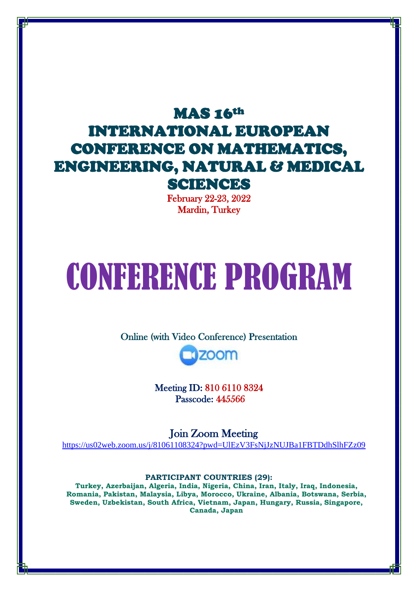# MAS 16th INTERNATIONAL EUROPEAN CONFERENCE ON MATHEMATICS, ENGINEERING, NATURAL & MEDICAL SCIENCES

February 22-23, 2022 Mardin, Turkey

# CONFERENCE PROGRAM

Online (with Video Conference) Presentation



Meeting ID: 810 6110 8324 Passcode: 445566

Join Zoom Meeting <https://us02web.zoom.us/j/81061108324?pwd=UlEzV3FsNjJzNUJBa1FBTDdhSlhFZz09>

**PARTICIPANT COUNTRIES (29):** 

**Turkey, Azerbaijan, Algeria, India, Nigeria, China, Iran, Italy, Iraq, Indonesia, Romania, Pakistan, Malaysia, Libya, Morocco, Ukraine, Albania, Botswana, Serbia, Sweden, Uzbekistan, South Africa, Vietnam, Japan, Hungary, Russia, Singapore, Canada, Japan**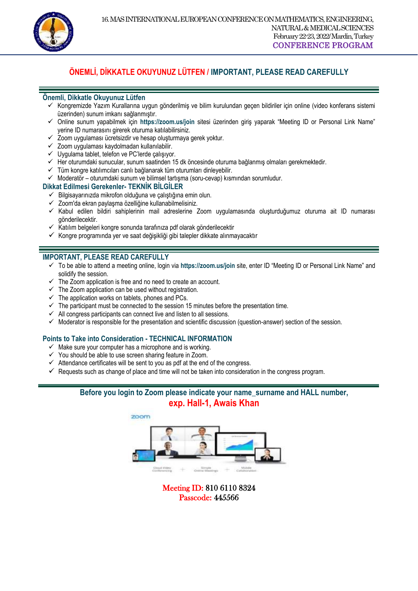

#### **ÖNEMLİ, DİKKATLE OKUYUNUZ LÜTFEN / IMPORTANT, PLEASE READ CAREFULLY**

 $\overline{a}$ 

#### **Önemli, Dikkatle Okuyunuz Lütfen**

- $\checkmark$  Kongremizde Yazım Kurallarına uygun gönderilmiş ve bilim kurulundan geçen bildiriler için online (video konferans sistemi üzerinden) sunum imkanı sağlanmıştır.
- Online sunum yapabilmek için **https://zoom.us/join** sitesi üzerinden giriş yaparak "Meeting ID or Personal Link Name" yerine ID numarasını girerek oturuma katılabilirsiniz.
- Zoom uygulaması ücretsizdir ve hesap oluşturmaya gerek yoktur.
- $\checkmark$  Zoom uygulaması kaydolmadan kullanılabilir.
- $\checkmark$  Uygulama tablet, telefon ve PC'lerde çalışıyor.
- $\checkmark$  Her oturumdaki sunucular, sunum saatinden 15 dk öncesinde oturuma bağlanmış olmaları gerekmektedir.
- $\checkmark$  Tüm kongre katılımcıları canlı bağlanarak tüm oturumları dinleyebilir.
- $\checkmark$  Moderatör oturumdaki sunum ve bilimsel tartışma (soru-cevap) kısmından sorumludur.

#### **Dikkat Edilmesi Gerekenler- TEKNİK BİLGİLER**

- $\checkmark$  Bilgisayarınızda mikrofon olduğuna ve çalıştığına emin olun.
- $\checkmark$  Zoom'da ekran paylaşma özelliğine kullanabilmelisiniz.
- Kabul edilen bildiri sahiplerinin mail adreslerine Zoom uygulamasında oluşturduğumuz oturuma ait ID numarası gönderilecektir.
- $\checkmark$  Katılım belgeleri kongre sonunda tarafınıza pdf olarak gönderilecektir
- $\checkmark$  Kongre programında yer ve saat değişikliği gibi talepler dikkate alınmayacaktır

#### **IMPORTANT, PLEASE READ CAREFULLY**

- To be able to attend a meeting online, login via **https://zoom.us/join** site, enter ID "Meeting ID or Personal Link Name" and solidify the session.
- $\checkmark$  The Zoom application is free and no need to create an account.
- $\checkmark$  The Zoom application can be used without registration.
- $\checkmark$  The application works on tablets, phones and PCs.
- $\checkmark$  The participant must be connected to the session 15 minutes before the presentation time.
- $\checkmark$  All congress participants can connect live and listen to all sessions.
- $\checkmark$  Moderator is responsible for the presentation and scientific discussion (question-answer) section of the session.

#### **Points to Take into Consideration - TECHNICAL INFORMATION**

- $\checkmark$  Make sure your computer has a microphone and is working.
- $\checkmark$  You should be able to use screen sharing feature in Zoom.
- $\checkmark$  Attendance certificates will be sent to you as pdf at the end of the congress.
- $\checkmark$  Requests such as change of place and time will not be taken into consideration in the congress program.

#### **Before you login to Zoom please indicate your name\_surname and HALL number, exp. Hall-1, Awais Khan**



Meeting ID: 810 6110 8324 Passcode: 445566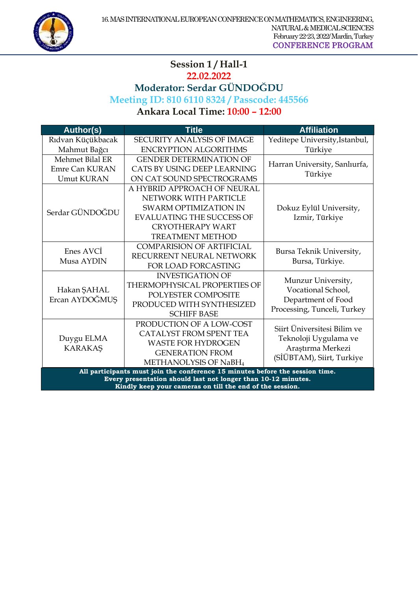#### $\overline{a}$ **Session 1 / Hall-1 22.02.2022 Moderator: Serdar GÜNDOĞDU Meeting ID: 810 6110 8324 / Passcode: 445566 Ankara Local Time: 10:00 – 12:00**

| <b>Author(s)</b>                                                                                                                               | <b>Title</b>                      | <b>Affiliation</b>             |
|------------------------------------------------------------------------------------------------------------------------------------------------|-----------------------------------|--------------------------------|
| Rıdvan Küçükbacak                                                                                                                              | <b>SECURITY ANALYSIS OF IMAGE</b> | Yeditepe University, Istanbul, |
| Mahmut Bağcı                                                                                                                                   | <b>ENCRYPTION ALGORITHMS</b>      | Türkiye                        |
| Mehmet Bilal ER                                                                                                                                | <b>GENDER DETERMINATION OF</b>    | Harran University, Sanlıurfa,  |
| Emre Can KURAN                                                                                                                                 | CATS BY USING DEEP LEARNING       | Türkiye                        |
| <b>Umut KURAN</b>                                                                                                                              | ON CAT SOUND SPECTROGRAMS         |                                |
|                                                                                                                                                | A HYBRID APPROACH OF NEURAL       |                                |
|                                                                                                                                                | NETWORK WITH PARTICLE             |                                |
| Serdar GÜNDOĞDU                                                                                                                                | <b>SWARM OPTIMIZATION IN</b>      | Dokuz Eylül University,        |
|                                                                                                                                                | <b>EVALUATING THE SUCCESS OF</b>  | Izmir, Türkiye                 |
|                                                                                                                                                | <b>CRYOTHERAPY WART</b>           |                                |
|                                                                                                                                                | <b>TREATMENT METHOD</b>           |                                |
| Enes AVCI                                                                                                                                      | <b>COMPARISION OF ARTIFICIAL</b>  | Bursa Teknik University,       |
| Musa AYDIN                                                                                                                                     | RECURRENT NEURAL NETWORK          | Bursa, Türkiye.                |
|                                                                                                                                                | <b>FOR LOAD FORCASTING</b>        |                                |
|                                                                                                                                                | <b>INVESTIGATION OF</b>           | Munzur University,             |
| Hakan ŞAHAL                                                                                                                                    | THERMOPHYSICAL PROPERTIES OF      | Vocational School,             |
| Ercan AYDOĞMUŞ                                                                                                                                 | POLYESTER COMPOSITE               | Department of Food             |
|                                                                                                                                                | PRODUCED WITH SYNTHESIZED         | Processing, Tunceli, Turkey    |
|                                                                                                                                                | <b>SCHIFF BASE</b>                |                                |
|                                                                                                                                                | PRODUCTION OF A LOW-COST          | Siirt Üniversitesi Bilim ve    |
| Duygu ELMA                                                                                                                                     | <b>CATALYST FROM SPENT TEA</b>    | Teknoloji Uygulama ve          |
| <b>KARAKAŞ</b>                                                                                                                                 | <b>WASTE FOR HYDROGEN</b>         | Araştırma Merkezi              |
|                                                                                                                                                | <b>GENERATION FROM</b>            | (SİÜBTAM), Siirt, Turkiye      |
|                                                                                                                                                | METHANOLYSIS OF NaBH <sub>4</sub> |                                |
| All participants must join the conference 15 minutes before the session time.<br>Every presentation should last not longer than 10-12 minutes. |                                   |                                |
| Kindly keep your cameras on till the end of the session.                                                                                       |                                   |                                |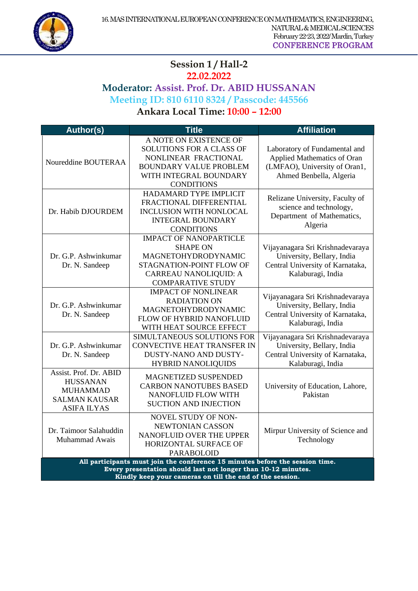

## $\overline{a}$ Session 1/Hall-2 **22.02.2022 Moderator: Assist. Prof. Dr. ABID HUSSANAN Meeting ID: 810 6110 8324 / Passcode: 445566**

**Ankara Local Time: 10:00 – 12:00** 

| <b>Author(s)</b>                                                                                                                                                                                           | <b>Title</b>                                                                                                                                               | <b>Affiliation</b>                                                                                                       |
|------------------------------------------------------------------------------------------------------------------------------------------------------------------------------------------------------------|------------------------------------------------------------------------------------------------------------------------------------------------------------|--------------------------------------------------------------------------------------------------------------------------|
| Noureddine BOUTERAA                                                                                                                                                                                        | A NOTE ON EXISTENCE OF<br>SOLUTIONS FOR A CLASS OF<br>NONLINEAR FRACTIONAL<br><b>BOUNDARY VALUE PROBLEM</b><br>WITH INTEGRAL BOUNDARY<br><b>CONDITIONS</b> | Laboratory of Fundamental and<br>Applied Mathematics of Oran<br>(LMFAO), University of Oran1,<br>Ahmed Benbella, Algeria |
| Dr. Habib DJOURDEM                                                                                                                                                                                         | HADAMARD TYPE IMPLICIT<br>FRACTIONAL DIFFERENTIAL<br><b>INCLUSION WITH NONLOCAL</b><br><b>INTEGRAL BOUNDARY</b><br><b>CONDITIONS</b>                       | Relizane University, Faculty of<br>science and technology,<br>Department of Mathematics,<br>Algeria                      |
| Dr. G.P. Ashwinkumar<br>Dr. N. Sandeep                                                                                                                                                                     | <b>IMPACT OF NANOPARTICLE</b><br><b>SHAPE ON</b><br>MAGNETOHYDRODYNAMIC<br>STAGNATION-POINT FLOW OF<br>CARREAU NANOLIQUID: A<br><b>COMPARATIVE STUDY</b>   | Vijayanagara Sri Krishnadevaraya<br>University, Bellary, India<br>Central University of Karnataka,<br>Kalaburagi, India  |
| Dr. G.P. Ashwinkumar<br>Dr. N. Sandeep                                                                                                                                                                     | <b>IMPACT OF NONLINEAR</b><br><b>RADIATION ON</b><br>MAGNETOHYDRODYNAMIC<br>FLOW OF HYBRID NANOFLUID<br>WITH HEAT SOURCE EFFECT                            | Vijayanagara Sri Krishnadevaraya<br>University, Bellary, India<br>Central University of Karnataka,<br>Kalaburagi, India  |
| Dr. G.P. Ashwinkumar<br>Dr. N. Sandeep                                                                                                                                                                     | SIMULTANEOUS SOLUTIONS FOR<br>CONVECTIVE HEAT TRANSFER IN<br>DUSTY-NANO AND DUSTY-<br><b>HYBRID NANOLIQUIDS</b>                                            | Vijayanagara Sri Krishnadevaraya<br>University, Bellary, India<br>Central University of Karnataka,<br>Kalaburagi, India  |
| Assist. Prof. Dr. ABID<br><b>HUSSANAN</b><br><b>MUHAMMAD</b><br><b>SALMAN KAUSAR</b><br><b>ASIFA ILYAS</b>                                                                                                 | MAGNETIZED SUSPENDED<br><b>CARBON NANOTUBES BASED</b><br><b>NANOFLUID FLOW WITH</b><br><b>SUCTION AND INJECTION</b>                                        | University of Education, Lahore,<br>Pakistan                                                                             |
| Dr. Taimoor Salahuddin<br>Muhammad Awais                                                                                                                                                                   | NOVEL STUDY OF NON-<br>NEWTONIAN CASSON<br>NANOFLUID OVER THE UPPER<br>HORIZONTAL SURFACE OF<br><b>PARABOLOID</b>                                          | Mirpur University of Science and<br>Technology                                                                           |
| All participants must join the conference 15 minutes before the session time.<br>Every presentation should last not longer than 10-12 minutes.<br>Kindly keep your cameras on till the end of the session. |                                                                                                                                                            |                                                                                                                          |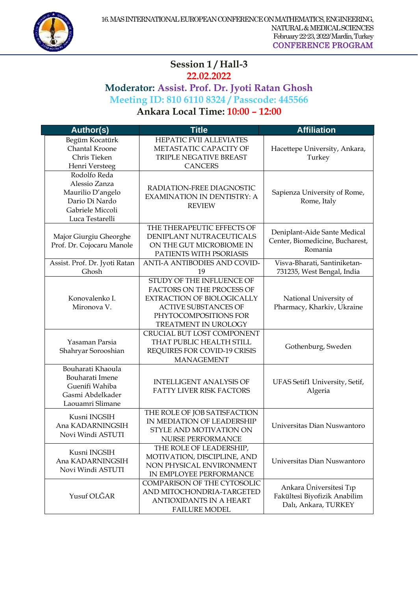

#### $\overline{a}$ **Session 1 / Hall-3 22.02.2022**

## **Moderator: Assist. Prof. Dr. Jyoti Ratan Ghosh Meeting ID: 810 6110 8324 / Passcode: 445566 Ankara Local Time: 10:00 – 12:00**

**Author(s) Title Affiliation** Begüm Kocatürk Chantal Kroone Chris Tieken Henri Versteeg HEPATIC FVII ALLEVIATES METASTATIC CAPACITY OF TRIPLE NEGATIVE BREAST **CANCERS** Hacettepe University, Ankara, Turkey Rodolfo Reda Alessio Zanza Maurilio D'angelo Dario Di Nardo Gabriele Miccoli Luca Testarelli RADIATION-FREE DIAGNOSTIC EXAMINATION IN DENTISTRY: A REVIEW Sapienza University of Rome, Rome, Italy Major Giurgiu Gheorghe Prof. Dr. Cojocaru Manole THE THERAPEUTIC EFFECTS OF DENIPLANT NUTRACEUTICALS ON THE GUT MICROBIOME IN PATIENTS WITH PSORIASIS Deniplant-Aide Sante Medical Center, Biomedicine, Bucharest, Romania Assist. Prof. Dr. Jyoti Ratan Ghosh ANTI-A ANTIBODIES AND COVID-19 Visva-Bharati, Santiniketan-731235, West Bengal, India Konovalenko І. Mironova V. STUDY OF THE INFLUENCE OF FACTORS ON THE PROCESS OF EXTRACTION OF BIOLOGICALLY ACTIVE SUBSTANCES OF PHYTOCOMPOSITIONS FOR TREATMENT IN UROLOGY National University of Pharmacy, Kharkiv, Ukraine Yasaman Parsia Shahryar Sorooshian CRUCIAL BUT LOST COMPONENT THAT PUBLIC HEALTH STILL REQUIRES FOR COVID-19 CRISIS MANAGEMENT Gothenburg, Sweden Bouharati Khaoula Bouharati Imene Guenifi Wahiba Gasmi Abdelkader Laouamri Slimane INTELLIGENT ANALYSIS OF FATTY LIVER RISK FACTORS UFAS Setif1 University, Setif, Algeria Kusni INGSIH Ana KADARNINGSIH Novi Windi ASTUTI THE ROLE OF JOB SATISFACTION IN MEDIATION OF LEADERSHIP STYLE AND MOTIVATION ON NURSE PERFORMANCE Universitas Dian Nuswantoro Kusni INGSIH Ana KADARNINGSIH Novi Windi ASTUTI THE ROLE OF LEADERSHIP, MOTIVATION, DISCIPLINE, AND NON PHYSICAL ENVIRONMENT IN EMPLOYEE PERFORMANCE Universitas Dian Nuswantoro Yusuf OLĞAR COMPARISON OF THE CYTOSOLIC AND MITOCHONDRIA-TARGETED ANTIOXIDANTS IN A HEART FAILURE MODEL Ankara Üniversitesi Tıp Fakültesi Biyofizik Anabilim Dalı, Ankara, TURKEY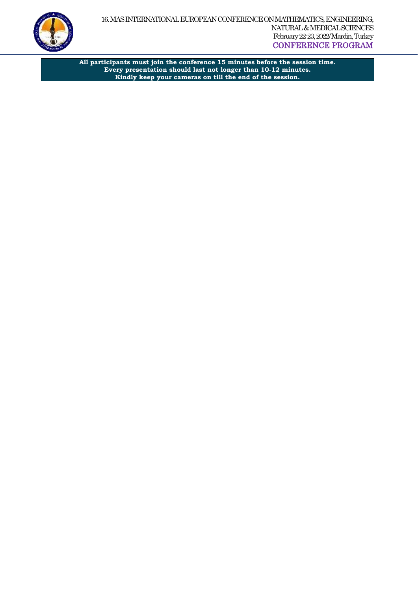

**All participants must join the conference 15 minutes before the session time. Every presentation should last not longer than 10-12 minutes. Kindly keep your cameras on till the end of the session.**

 $\overline{a}$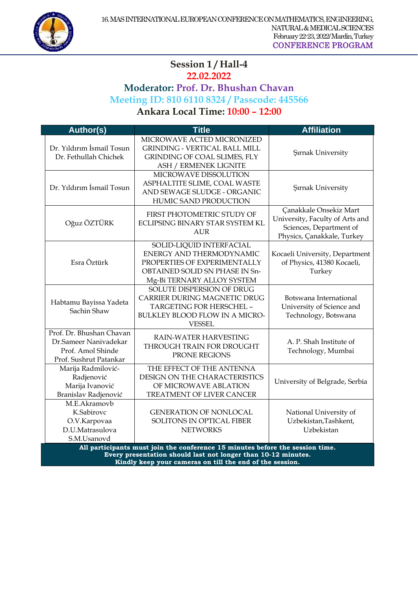

## $\overline{a}$ Session 1/Hall-4

**22.02.2022**

## **Moderator: Prof. Dr. Bhushan Chavan Meeting ID: 810 6110 8324 / Passcode: 445566**

**Ankara Local Time: 10:00 – 12:00** 

| <b>Author(s)</b>                                                                                 | <b>Title</b>                                                                                                                                                                                               | <b>Affiliation</b>                                                                                                 |  |
|--------------------------------------------------------------------------------------------------|------------------------------------------------------------------------------------------------------------------------------------------------------------------------------------------------------------|--------------------------------------------------------------------------------------------------------------------|--|
| Dr. Yıldırım İsmail Tosun<br>Dr. Fethullah Chichek                                               | MICROWAVE ACTED MICRONIZED<br><b>GRINDING - VERTICAL BALL MILL</b><br><b>GRINDING OF COAL SLIMES, FLY</b><br><b>ASH / ERMENEK LIGNITE</b>                                                                  | <b>Şırnak University</b>                                                                                           |  |
| Dr. Yıldırım İsmail Tosun                                                                        | MICROWAVE DISSOLUTION<br>ASPHALTITE SLIME, COAL WASTE<br>AND SEWAGE SLUDGE - ORGANIC<br>HUMIC SAND PRODUCTION                                                                                              | Şırnak University                                                                                                  |  |
| Oğuz ÖZTÜRK                                                                                      | FIRST PHOTOMETRIC STUDY OF<br>ECLIPSING BINARY STAR SYSTEM KL<br><b>AUR</b>                                                                                                                                | Canakkale Onsekiz Mart<br>University, Faculty of Arts and<br>Sciences, Department of<br>Physics, Çanakkale, Turkey |  |
| Esra Öztürk                                                                                      | SOLID-LIQUID INTERFACIAL<br>ENERGY AND THERMODYNAMIC<br>PROPERTIES OF EXPERIMENTALLY<br>OBTAINED SOLID SN PHASE IN Sn-<br>Mg-Bi TERNARY ALLOY SYSTEM                                                       | Kocaeli University, Department<br>of Physics, 41380 Kocaeli,<br>Turkey                                             |  |
| Habtamu Bayissa Yadeta<br>Sachin Shaw                                                            | SOLUTE DISPERSION OF DRUG<br>CARRIER DURING MAGNETIC DRUG<br>TARGETING FOR HERSCHEL -<br>BULKLEY BLOOD FLOW IN A MICRO-<br><b>VESSEL</b>                                                                   | Botswana International<br>University of Science and<br>Technology, Botswana                                        |  |
| Prof. Dr. Bhushan Chavan<br>Dr.Sameer Nanivadekar<br>Prof. Amol Shinde<br>Prof. Sushrut Patankar | RAIN-WATER HARVESTING<br>THROUGH TRAIN FOR DROUGHT<br>PRONE REGIONS                                                                                                                                        | A. P. Shah Institute of<br>Technology, Mumbai                                                                      |  |
| Marija Radmilović-<br>Radjenović<br>Marija Ivanović<br>Branislav Radjenović                      | THE EFFECT OF THE ANTENNA<br>DESIGN ON THE CHARACTERISTICS<br>OF MICROWAVE ABLATION<br>TREATMENT OF LIVER CANCER                                                                                           | University of Belgrade, Serbia                                                                                     |  |
| M.E.Akramovb<br>K.Sabirovc<br>O.V.Karpovaa<br>D.U.Matrasulova<br>S.M.Usanovd                     | <b>GENERATION OF NONLOCAL</b><br>SOLITONS IN OPTICAL FIBER<br><b>NETWORKS</b>                                                                                                                              | National University of<br>Uzbekistan, Tashkent,<br>Uzbekistan                                                      |  |
|                                                                                                  | All participants must join the conference 15 minutes before the session time.<br>Every presentation should last not longer than 10-12 minutes.<br>Kindly keep your cameras on till the end of the session. |                                                                                                                    |  |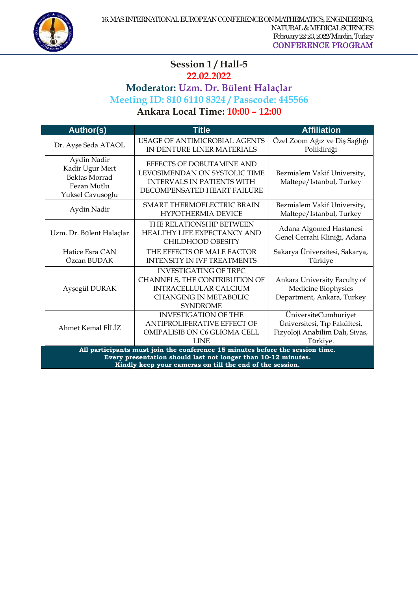

#### $\overline{a}$ Session 1 / Hall-5

**22.02.2022**

**Moderator: Uzm. Dr. Bülent Halaçlar**

**Meeting ID: 810 6110 8324 / Passcode: 445566**

**Ankara Local Time: 10:00 – 12:00** 

| <b>Author(s)</b>                                                                                                                                                                                           | <b>Title</b>                                                                                                                                     | <b>Affiliation</b>                                                                                  |
|------------------------------------------------------------------------------------------------------------------------------------------------------------------------------------------------------------|--------------------------------------------------------------------------------------------------------------------------------------------------|-----------------------------------------------------------------------------------------------------|
| Dr. Ayşe Seda ATAOL                                                                                                                                                                                        | USAGE OF ANTIMICROBIAL AGENTS<br>IN DENTURE LINER MATERIALS                                                                                      | Özel Zoom Ağız ve Diş Sağlığı<br>Polikliniği                                                        |
| Aydin Nadir<br>Kadir Ugur Mert<br><b>Bektas Morrad</b><br>Fezan Mutlu<br>Yuksel Cavusoglu                                                                                                                  | EFFECTS OF DOBUTAMINE AND<br>LEVOSIMENDAN ON SYSTOLIC TIME<br><b>INTERVALS IN PATIENTS WITH</b><br>DECOMPENSATED HEART FAILURE                   | Bezmialem Vakif University,<br>Maltepe/Istanbul, Turkey                                             |
| Aydin Nadir                                                                                                                                                                                                | SMART THERMOELECTRIC BRAIN<br><b>HYPOTHERMIA DEVICE</b>                                                                                          | Bezmialem Vakif University,<br>Maltepe/Istanbul, Turkey                                             |
| Uzm. Dr. Bülent Halaçlar                                                                                                                                                                                   | THE RELATIONSHIP BETWEEN<br><b>HEALTHY LIFE EXPECTANCY AND</b><br>CHILDHOOD OBESITY                                                              | Adana Algomed Hastanesi<br>Genel Cerrahi Kliniği, Adana                                             |
| Hatice Esra CAN<br>Özcan BUDAK                                                                                                                                                                             | THE EFFECTS OF MALE FACTOR<br><b>INTENSITY IN IVF TREATMENTS</b>                                                                                 | Sakarya Üniversitesi, Sakarya,<br>Türkiye                                                           |
| Ayşegül DURAK                                                                                                                                                                                              | <b>INVESTIGATING OF TRPC</b><br>CHANNELS, THE CONTRIBUTION OF<br><b>INTRACELLULAR CALCIUM</b><br><b>CHANGING IN METABOLIC</b><br><b>SYNDROME</b> | Ankara University Faculty of<br>Medicine Biophysics<br>Department, Ankara, Turkey                   |
| Ahmet Kemal FİLİZ                                                                                                                                                                                          | <b>INVESTIGATION OF THE</b><br><b>ANTIPROLIFERATIVE EFFECT OF</b><br>OMIPALISIB ON C6 GLIOMA CELL<br><b>LINE</b>                                 | ÜniversiteCumhuriyet<br>Üniversitesi, Tıp Fakültesi,<br>Fizyoloji Anabilim Dalı, Sivas,<br>Türkiye. |
| All participants must join the conference 15 minutes before the session time.<br>Every presentation should last not longer than 10-12 minutes.<br>Kindly keep your cameras on till the end of the session. |                                                                                                                                                  |                                                                                                     |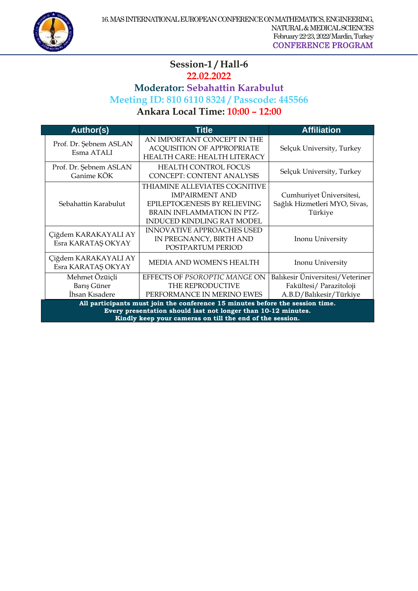

#### $\overline{a}$ **Session-1 / Hall-6 22.02.2022 Moderator: Sebahattin Karabulut Meeting ID: 810 6110 8324 / Passcode: 445566 Ankara Local Time: 10:00 – 12:00**

| <b>Author(s)</b>                                                                                                                                                                                           | <b>Title</b>                                                                                                                                              | <b>Affiliation</b>                                                                     |
|------------------------------------------------------------------------------------------------------------------------------------------------------------------------------------------------------------|-----------------------------------------------------------------------------------------------------------------------------------------------------------|----------------------------------------------------------------------------------------|
| Prof. Dr. Şebnem ASLAN<br>Esma ATALI                                                                                                                                                                       | AN IMPORTANT CONCEPT IN THE<br><b>ACQUISITION OF APPROPRIATE</b><br>HEALTH CARE: HEALTH LITERACY                                                          | Selçuk University, Turkey                                                              |
| Prof. Dr. Şebnem ASLAN<br>Ganime KÖK                                                                                                                                                                       | <b>HEALTH CONTROL FOCUS</b><br><b>CONCEPT: CONTENT ANALYSIS</b>                                                                                           | Selçuk University, Turkey                                                              |
| Sebahattin Karabulut                                                                                                                                                                                       | THIAMINE ALLEVIATES COGNITIVE<br><b>IMPAIRMENT AND</b><br>EPILEPTOGENESIS BY RELIEVING<br>BRAIN INFLAMMATION IN PTZ-<br><b>INDUCED KINDLING RAT MODEL</b> | Cumhuriyet Üniversitesi,<br>Sağlık Hizmetleri MYO, Sivas,<br>Türkiye                   |
| Çiğdem KARAKAYALI AY<br>Esra KARATAŞ OKYAY                                                                                                                                                                 | <b>INNOVATIVE APPROACHES USED</b><br>IN PREGNANCY, BIRTH AND<br>POSTPARTUM PERIOD                                                                         | Inonu University                                                                       |
| Çiğdem KARAKAYALI AY<br>Esra KARATAŞ OKYAY                                                                                                                                                                 | MEDIA AND WOMEN'S HEALTH                                                                                                                                  | Inonu University                                                                       |
| Mehmet Özüiçli<br>Barış Güner<br>İhsan Kısadere                                                                                                                                                            | EFFECTS OF PSOROPTIC MANGE ON<br>THE REPRODUCTIVE<br>PERFORMANCE IN MERINO EWES                                                                           | Balıkesir Üniversitesi/Veteriner<br>Fakültesi/ Parazitoloji<br>A.B.D/Balıkesir/Türkiye |
| All participants must join the conference 15 minutes before the session time.<br>Every presentation should last not longer than 10-12 minutes.<br>Kindly keep your cameras on till the end of the session. |                                                                                                                                                           |                                                                                        |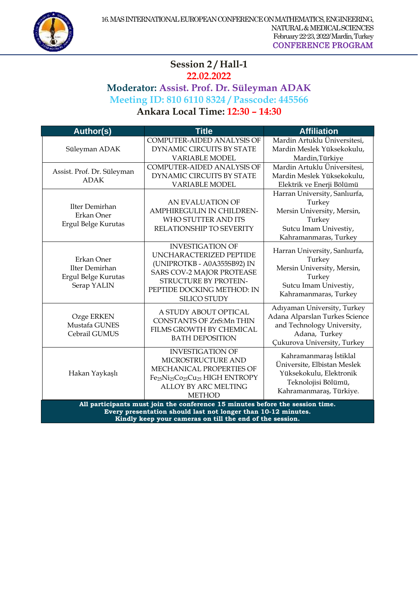

## $\overline{a}$ **Session 2 / Hall-1**

**22.02.2022**

**Moderator: Assist. Prof. Dr. Süleyman ADAK Meeting ID: 810 6110 8324 / Passcode: 445566**

**Ankara Local Time: 12:30 – 14:30** 

| <b>Author(s)</b>                                                                                                                                                                                           | <b>Title</b>                                                                                                                                                                                           | <b>Affiliation</b>                                                                                                                          |
|------------------------------------------------------------------------------------------------------------------------------------------------------------------------------------------------------------|--------------------------------------------------------------------------------------------------------------------------------------------------------------------------------------------------------|---------------------------------------------------------------------------------------------------------------------------------------------|
|                                                                                                                                                                                                            | <b>COMPUTER-AIDED ANALYSIS OF</b>                                                                                                                                                                      | Mardin Artuklu Üniversitesi,                                                                                                                |
| Süleyman ADAK                                                                                                                                                                                              | DYNAMIC CIRCUITS BY STATE                                                                                                                                                                              | Mardin Meslek Yüksekokulu,                                                                                                                  |
|                                                                                                                                                                                                            | <b>VARIABLE MODEL</b>                                                                                                                                                                                  | Mardin, Türkiye                                                                                                                             |
| Assist. Prof. Dr. Süleyman                                                                                                                                                                                 | <b>COMPUTER-AIDED ANALYSIS OF</b>                                                                                                                                                                      | Mardin Artuklu Üniversitesi,                                                                                                                |
| <b>ADAK</b>                                                                                                                                                                                                | DYNAMIC CIRCUITS BY STATE                                                                                                                                                                              | Mardin Meslek Yüksekokulu,                                                                                                                  |
|                                                                                                                                                                                                            | <b>VARIABLE MODEL</b>                                                                                                                                                                                  | Elektrik ve Enerji Bölümü                                                                                                                   |
| Ilter Demirhan<br>Erkan Oner<br>Ergul Belge Kurutas                                                                                                                                                        | AN EVALUATION OF<br>AMPHIREGULIN IN CHILDREN-<br>WHO STUTTER AND ITS<br>RELATIONSHIP TO SEVERITY                                                                                                       | Harran University, Sanlıurfa,<br>Turkey<br>Mersin University, Mersin,<br>Turkey<br>Sutcu Imam Univestiy,<br>Kahramanmaras, Turkey           |
| Erkan Oner<br>Ilter Demirhan<br>Ergul Belge Kurutas<br>Serap YALIN                                                                                                                                         | <b>INVESTIGATION OF</b><br>UNCHARACTERIZED PEPTIDE<br>(UNIPROTKB - A0A355SB92) IN<br><b>SARS COV-2 MAJOR PROTEASE</b><br>STRUCTURE BY PROTEIN-<br>PEPTIDE DOCKING METHOD: IN<br><b>SILICO STUDY</b>    | Harran University, Sanlıurfa,<br>Turkey<br>Mersin University, Mersin,<br>Turkey<br>Sutcu Imam Univestiy,<br>Kahramanmaras, Turkey           |
| Ozge ERKEN<br>Mustafa GUNES<br>Cebrail GUMUS                                                                                                                                                               | A STUDY ABOUT OPTICAL<br><b>CONSTANTS OF ZnS:Mn THIN</b><br>FILMS GROWTH BY CHEMICAL<br><b>BATH DEPOSITION</b>                                                                                         | Adıyaman University, Turkey<br>Adana Alparslan Turkes Science<br>and Technology University,<br>Adana, Turkey<br>Çukurova University, Turkey |
| Hakan Yaykaşlı                                                                                                                                                                                             | <b>INVESTIGATION OF</b><br>MICROSTRUCTURE AND<br>MECHANICAL PROPERTIES OF<br>Fe <sub>25</sub> Ni <sub>25</sub> Co <sub>25</sub> Cu <sub>25</sub> HIGH ENTROPY<br>ALLOY BY ARC MELTING<br><b>METHOD</b> | Kahramanmaraş İstiklal<br>Üniversite, Elbistan Meslek<br>Yüksekokulu, Elektronik<br>Teknolojisi Bölümü,<br>Kahramanmaraş, Türkiye.          |
| All participants must join the conference 15 minutes before the session time.<br>Every presentation should last not longer than 10-12 minutes.<br>Kindly keep your cameras on till the end of the session. |                                                                                                                                                                                                        |                                                                                                                                             |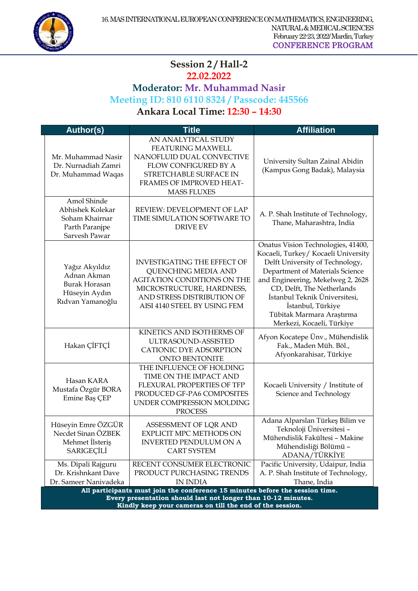

#### $\overline{a}$ **Session 2 / Hall-2 22.02.2022**

#### **Moderator: Mr. Muhammad Nasir Meeting ID: 810 6110 8324 / Passcode: 445566 Ankara Local Time: 12:30 – 14:30**

**Author(s) Title Affiliation** Mr. Muhammad Nasir Dr. Nurnadiah Zamri Dr. Muhammad Waqas AN ANALYTICAL STUDY FEATURING MAXWELL NANOFLUID DUAL CONVECTIVE FLOW CONFIGURED BY A STRETCHABLE SURFACE IN FRAMES OF IMPROVED HEAT-MASS FLUXES University Sultan Zainal Abidin (Kampus Gong Badak), Malaysia Amol Shinde Abhishek Kolekar Soham Khairnar Parth Paranjpe Sarvesh Pawar REVIEW: DEVELOPMENT OF LAP TIME SIMULATION SOFTWARE TO DRIVE EV A. P. Shah Institute of Technology, Thane, Maharashtra, India Yağız Akyıldız Adnan Akman Burak Horasan Hüseyin Aydın Rıdvan Yamanoğlu INVESTIGATING THE EFFECT OF QUENCHING MEDIA AND AGITATION CONDITIONS ON THE MICROSTRUCTURE, HARDNESS, AND STRESS DISTRIBUTION OF AISI 4140 STEEL BY USING FEM Onatus Vision Technologies, 41400, Kocaeli, Turkey/ Kocaeli University Delft University of Technology, Department of Materials Science and Engineering, Mekelweg 2, 2628 CD, Delft, The Netherlands İstanbul Teknik Üniversitesi, İstanbul, Türkiye Tübitak Marmara Araştırma Merkezi, Kocaeli, Türkiye Hakan ÇİFTÇİ KINETICS AND ISOTHERMS OF ULTRASOUND-ASSISTED CATIONIC DYE ADSORPTION ONTO BENTONITE Afyon Kocatepe Ünv., Mühendislik Fak., Maden Müh. Böl., Afyonkarahisar, Türkiye Hasan KARA Mustafa Özgür BORA Emine Baş ÇEP THE INFLUENCE OF HOLDING TIME ON THE IMPACT AND FLEXURAL PROPERTIES OF TFP PRODUCED GF-PA6 COMPOSITES UNDER COMPRESSION MOLDING PROCESS Kocaeli University / Institute of Science and Technology Hüseyin Emre ÖZGÜR Necdet Sinan ÖZBEK Mehmet İlsteriş SARIGEÇİLİ ASSESSMENT OF LQR AND EXPLICIT MPC METHODS ON INVERTED PENDULUM ON A CART SYSTEM Adana Alparslan Türkeş Bilim ve Teknoloji Üniversitesi – Mühendislik Fakültesi – Makine Mühendisliği Bölümü – ADANA/TÜRKİYE Ms. Dipali Rajguru Dr. Krishnkant Dave Dr. Sameer Nanivadeka RECENT CONSUMER ELECTRONIC PRODUCT PURCHASING TRENDS IN INDIA Pacific University, Udaipur, India A. P. Shah Institute of Technology, Thane, India **All participants must join the conference 15 minutes before the session time. Every presentation should last not longer than 10-12 minutes. Kindly keep your cameras on till the end of the session.**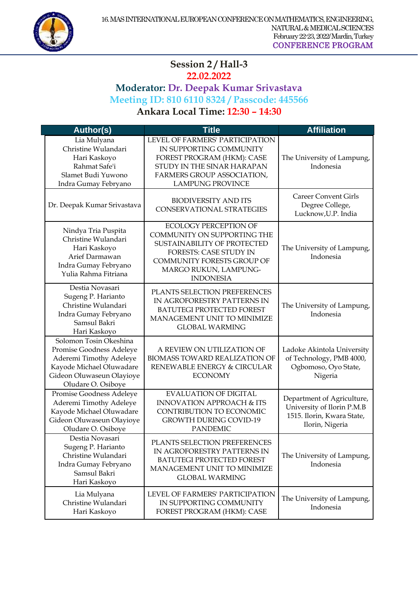

#### $\overline{a}$ **Session 2 / Hall-3 22.02.2022**

## **Moderator: Dr. Deepak Kumar Srivastava Meeting ID: 810 6110 8324 / Passcode: 445566 Ankara Local Time: 12:30 – 14:30**

| <b>Author(s)</b>                                                                                                                                             | <b>Title</b>                                                                                                                                                                                           | <b>Affiliation</b>                                                                                        |
|--------------------------------------------------------------------------------------------------------------------------------------------------------------|--------------------------------------------------------------------------------------------------------------------------------------------------------------------------------------------------------|-----------------------------------------------------------------------------------------------------------|
| Lia Mulyana<br>Christine Wulandari<br>Hari Kaskoyo<br>Rahmat Safe'i<br>Slamet Budi Yuwono<br>Indra Gumay Febryano                                            | LEVEL OF FARMERS' PARTICIPATION<br>IN SUPPORTING COMMUNITY<br>FOREST PROGRAM (HKM): CASE<br>STUDY IN THE SINAR HARAPAN<br>FARMERS GROUP ASSOCIATION,<br><b>LAMPUNG PROVINCE</b>                        | The University of Lampung,<br>Indonesia                                                                   |
| Dr. Deepak Kumar Srivastava                                                                                                                                  | <b>BIODIVERSITY AND ITS</b><br><b>CONSERVATIONAL STRATEGIES</b>                                                                                                                                        | <b>Career Convent Girls</b><br>Degree College,<br>Lucknow, U.P. India                                     |
| Nindya Tria Puspita<br>Christine Wulandari<br>Hari Kaskoyo<br>Arief Darmawan<br>Indra Gumay Febryano<br>Yulia Rahma Fitriana                                 | <b>ECOLOGY PERCEPTION OF</b><br>COMMUNITY ON SUPPORTING THE<br>SUSTAINABILITY OF PROTECTED<br><b>FORESTS: CASE STUDY IN</b><br>COMMUNITY FORESTS GROUP OF<br>MARGO RUKUN, LAMPUNG-<br><b>INDONESIA</b> | The University of Lampung,<br>Indonesia                                                                   |
| Destia Novasari<br>Sugeng P. Harianto<br>Christine Wulandari<br>Indra Gumay Febryano<br>Samsul Bakri<br>Hari Kaskoyo                                         | PLANTS SELECTION PREFERENCES<br>IN AGROFORESTRY PATTERNS IN<br><b>BATUTEGI PROTECTED FOREST</b><br>MANAGEMENT UNIT TO MINIMIZE<br><b>GLOBAL WARMING</b>                                                | The University of Lampung,<br>Indonesia                                                                   |
| Solomon Tosin Okeshina<br>Promise Goodness Adeleye<br>Aderemi Timothy Adeleye<br>Kayode Michael Oluwadare<br>Gideon Oluwaseun Olayioye<br>Oludare O. Osiboye | A REVIEW ON UTILIZATION OF<br>BIOMASS TOWARD REALIZATION OF<br>RENEWABLE ENERGY & CIRCULAR<br><b>ECONOMY</b>                                                                                           | Ladoke Akintola University<br>of Technology, PMB 4000,<br>Ogbomoso, Oyo State,<br>Nigeria                 |
| Promise Goodness Adeleye<br>Aderemi Timothy Adeleye<br>Kayode Michael Oluwadare<br>Gideon Oluwaseun Olayioye<br>Oludare O. Osiboye                           | <b>EVALUATION OF DIGITAL</b><br><b>INNOVATION APPROACH &amp; ITS</b><br>CONTRIBUTION TO ECONOMIC<br><b>GROWTH DURING COVID-19</b><br><b>PANDEMIC</b>                                                   | Department of Agriculture,<br>University of Ilorin P.M.B<br>1515. Ilorin, Kwara State,<br>Ilorin, Nigeria |
| Destia Novasari<br>Sugeng P. Harianto<br>Christine Wulandari<br>Indra Gumay Febryano<br>Samsul Bakri<br>Hari Kaskoyo                                         | PLANTS SELECTION PREFERENCES<br>IN AGROFORESTRY PATTERNS IN<br>BATUTEGI PROTECTED FOREST<br>MANAGEMENT UNIT TO MINIMIZE<br><b>GLOBAL WARMING</b>                                                       | The University of Lampung,<br>Indonesia                                                                   |
| Lia Mulyana<br>Christine Wulandari<br>Hari Kaskoyo                                                                                                           | LEVEL OF FARMERS' PARTICIPATION<br>IN SUPPORTING COMMUNITY<br>FOREST PROGRAM (HKM): CASE                                                                                                               | The University of Lampung,<br>Indonesia                                                                   |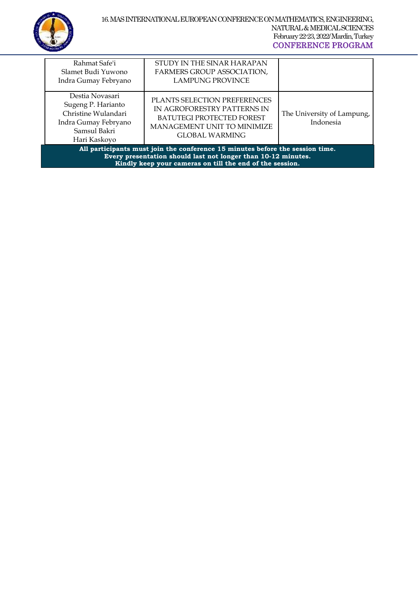

|                                                                                                                                                                                                            | Rahmat Safe'i<br>Slamet Budi Yuwono<br>Indra Gumay Febryano                                                          | STUDY IN THE SINAR HARAPAN<br><b>FARMERS GROUP ASSOCIATION,</b><br><b>LAMPUNG PROVINCE</b>                                                       |                                         |
|------------------------------------------------------------------------------------------------------------------------------------------------------------------------------------------------------------|----------------------------------------------------------------------------------------------------------------------|--------------------------------------------------------------------------------------------------------------------------------------------------|-----------------------------------------|
|                                                                                                                                                                                                            | Destia Novasari<br>Sugeng P. Harianto<br>Christine Wulandari<br>Indra Gumay Febryano<br>Samsul Bakri<br>Hari Kaskoyo | PLANTS SELECTION PREFERENCES<br>IN AGROFORESTRY PATTERNS IN<br>BATUTEGI PROTECTED FOREST<br><b>MANAGEMENT UNIT TO MINIMIZE</b><br>GLOBAL WARMING | The University of Lampung,<br>Indonesia |
| All participants must join the conference 15 minutes before the session time.<br>Every presentation should last not longer than 10-12 minutes.<br>Kindly keep your cameras on till the end of the session. |                                                                                                                      |                                                                                                                                                  |                                         |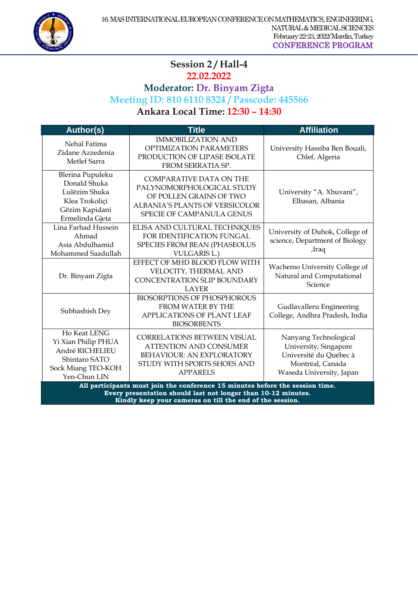

## $\overline{a}$ **Session 2 / Hall-4**

# **22.02.2022**

# **Moderator: Dr. Binyam Zigta**

# **Meeting ID: 810 6110 8324 / Passcode: 445566**

**Ankara Local Time: 12:30 – 14:30** 

| <b>Author(s)</b>                                                                                                                                                                                           | <b>Title</b>                                                                                                                                                 | <b>Affiliation</b>                                                                                                       |
|------------------------------------------------------------------------------------------------------------------------------------------------------------------------------------------------------------|--------------------------------------------------------------------------------------------------------------------------------------------------------------|--------------------------------------------------------------------------------------------------------------------------|
| Nehal Fatima<br>Zidane Azzedenia<br>Metlef Sarra                                                                                                                                                           | <b>IMMOBILIZATION AND</b><br><b>OPTIMIZATION PARAMETERS</b><br>PRODUCTION OF LIPASE ISOLATE<br>FROM SERRATIA SP.                                             | University Hassiba Ben Bouali,<br>Chlef, Algeria                                                                         |
| Blerina Pupuleku<br>Donald Shuka<br>Lulëzim Shuka<br>Klea Trokoliçi<br>Gëzim Kapidani<br>Ermelinda Gjeta                                                                                                   | <b>COMPARATIVE DATA ON THE</b><br>PALYNOMORPHOLOGICAL STUDY<br>OF POLLEN GRAINS OF TWO<br>ALBANIA'S PLANTS OF VERSICOLOR<br><b>SPECIE OF CAMPANULA GENUS</b> | University "A. Xhuvani",<br>Elbasan, Albania                                                                             |
| Lina Farhad Hussein<br>Ahmad<br>Asia Abdulhamid<br>Mohammed Saadullah                                                                                                                                      | ELISA AND CULTURAL TECHNIQUES<br>FOR IDENTIFICATION FUNGAL<br>SPECIES FROM BEAN (PHASEOLUS<br><b>VULGARIS L.)</b>                                            | University of Duhok, College of<br>science, Department of Biology<br>,Iraq                                               |
| Dr. Binyam Zigta                                                                                                                                                                                           | EFFECT OF MHD BLOOD FLOW WITH<br>VELOCITY, THERMAL AND<br><b>CONCENTRATION SLIP BOUNDARY</b><br><b>LAYER</b>                                                 | Wachemo University College of<br>Natural and Computational<br>Science                                                    |
| Subhashish Dey                                                                                                                                                                                             | <b>BIOSORPTIONS OF PHOSPHOROUS</b><br>FROM WATER BY THE<br>APPLICATIONS OF PLANT LEAF<br><b>BIOSORBENTS</b>                                                  | Gudlavalleru Engineering<br>College, Andhra Pradesh, India                                                               |
| Ho Keat LENG<br>Yi Xian Philip PHUA<br>André RICHELIEU<br>Shintaro SATO<br>Sock Miang TEO-KOH<br>Yen-Chun LIN                                                                                              | <b>CORRELATIONS BETWEEN VISUAL</b><br><b>ATTENTION AND CONSUMER</b><br>BEHAVIOUR: AN EXPLORATORY<br>STUDY WITH SPORTS SHOES AND<br><b>APPARELS</b>           | Nanyang Technological<br>University, Singapore<br>Université du Québec à<br>Montréal, Canada<br>Waseda University, Japan |
| All participants must join the conference 15 minutes before the session time.<br>Every presentation should last not longer than 10-12 minutes.<br>Kindly keep your cameras on till the end of the session. |                                                                                                                                                              |                                                                                                                          |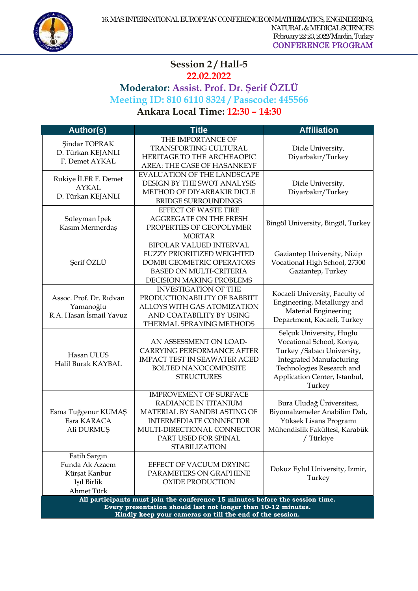

#### $\overline{a}$ **Session 2 / Hall-5 22.02.2022 Moderator: Assist. Prof. Dr. Şerif ÖZLÜ Meeting ID: 810 6110 8324 / Passcode: 445566 Ankara Local Time: 12:30 – 14:30**

| Author(s)                                                                                                                                                                                                  | <b>Title</b>                                                                                                                                                                                         | <b>Affiliation</b>                                                                                                                                                                              |
|------------------------------------------------------------------------------------------------------------------------------------------------------------------------------------------------------------|------------------------------------------------------------------------------------------------------------------------------------------------------------------------------------------------------|-------------------------------------------------------------------------------------------------------------------------------------------------------------------------------------------------|
| <b>Şindar TOPRAK</b><br>D. Türkan KEJANLI<br>F. Demet AYKAL                                                                                                                                                | THE IMPORTANCE OF<br>TRANSPORTING CULTURAL<br>HERITAGE TO THE ARCHEAOPIC<br>AREA: THE CASE OF HASANKEYF                                                                                              | Dicle University,<br>Diyarbakır/Turkey                                                                                                                                                          |
| Rukiye İLER F. Demet<br><b>AYKAL</b><br>D. Türkan KEJANLI                                                                                                                                                  | <b>EVALUATION OF THE LANDSCAPE</b><br>DESIGN BY THE SWOT ANALYSIS<br>METHOD OF DIYARBAKIR DICLE<br><b>BRIDGE SURROUNDINGS</b>                                                                        | Dicle University,<br>Diyarbakır/Turkey                                                                                                                                                          |
| Süleyman İpek<br>Kasım Mermerdaş                                                                                                                                                                           | EFFECT OF WASTE TIRE<br><b>AGGREGATE ON THE FRESH</b><br>PROPERTIES OF GEOPOLYMER<br><b>MORTAR</b>                                                                                                   | Bingöl University, Bingöl, Turkey                                                                                                                                                               |
| Şerif ÖZLÜ                                                                                                                                                                                                 | <b>BIPOLAR VALUED INTERVAL</b><br><b>FUZZY PRIORITIZED WEIGHTED</b><br>DOMBI GEOMETRIC OPERATORS<br><b>BASED ON MULTI-CRITERIA</b><br>DECISION MAKING PROBLEMS                                       | Gaziantep University, Nizip<br>Vocational High School, 27300<br>Gaziantep, Turkey                                                                                                               |
| Assoc. Prof. Dr. Ridvan<br>Yamanoğlu<br>R.A. Hasan İsmail Yavuz                                                                                                                                            | <b>INVESTIGATION OF THE</b><br>PRODUCTIONABILITY OF BABBITT<br>ALLOYS WITH GAS ATOMIZATION<br>AND COATABILITY BY USING<br>THERMAL SPRAYING METHODS                                                   | Kocaeli University, Faculty of<br>Engineering, Metallurgy and<br>Material Engineering<br>Department, Kocaeli, Turkey                                                                            |
| Hasan ULUS<br>Halil Burak KAYBAL                                                                                                                                                                           | AN ASSESSMENT ON LOAD-<br>CARRYING PERFORMANCE AFTER<br>IMPACT TEST IN SEAWATER AGED<br><b>BOLTED NANOCOMPOSITE</b><br><b>STRUCTURES</b>                                                             | Selçuk University, Huglu<br>Vocational School, Konya,<br>Turkey / Sabacı University,<br><b>Integrated Manufacturing</b><br>Technologies Research and<br>Application Center, Istanbul,<br>Turkey |
| Esma Tuğçenur KUMAŞ<br>Esra KARACA<br>Ali DURMUŞ                                                                                                                                                           | <b>IMPROVEMENT OF SURFACE</b><br>RADIANCE IN TITANIUM<br>MATERIAL BY SANDBLASTING OF<br><b>INTERMEDIATE CONNECTOR</b><br>MULTI-DIRECTIONAL CONNECTOR<br>PART USED FOR SPINAL<br><b>STABILIZATION</b> | Bura Uludağ Üniversitesi,<br>Biyomalzemeler Anabilim Dalı,<br>Yüksek Lisans Programı<br>Mühendislik Fakültesi, Karabük<br>/ Türkiye                                                             |
| Fatih Sargın<br>Funda Ak Azaem<br>Kürsat Kanbur<br>Işıl Birlik<br>Ahmet Türk                                                                                                                               | EFFECT OF VACUUM DRYING<br>PARAMETERS ON GRAPHENE<br><b>OXIDE PRODUCTION</b>                                                                                                                         | Dokuz Eylul University, Izmir,<br>Turkey                                                                                                                                                        |
| All participants must join the conference 15 minutes before the session time.<br>Every presentation should last not longer than 10-12 minutes.<br>Kindly keep your cameras on till the end of the session. |                                                                                                                                                                                                      |                                                                                                                                                                                                 |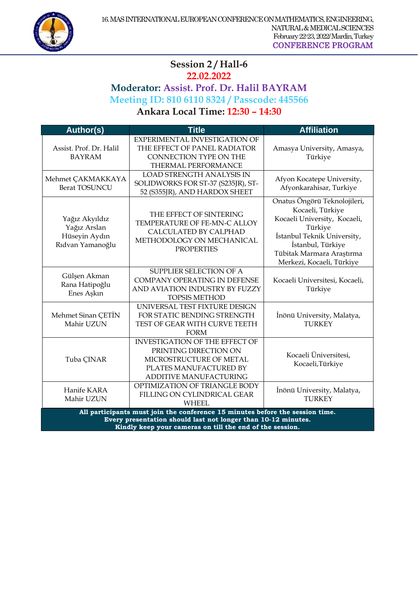

#### $\overline{a}$ **Session 2 / Hall-6 22.02.2022 Moderator: Assist. Prof. Dr. Halil BAYRAM Meeting ID: 810 6110 8324 / Passcode: 445566 Ankara Local Time: 12:30 – 14:30**

**Author(s) Title Affiliation** Assist. Prof. Dr. Halil BAYRAM EXPERIMENTAL INVESTIGATION OF THE EFFECT OF PANEL RADIATOR CONNECTION TYPE ON THE THERMAL PERFORMANCE Amasya University, Amasya, Türkiye Mehmet ÇAKMAKKAYA Berat TOSUNCU LOAD STRENGTH ANALYSIS IN SOLIDWORKS FOR ST-37 (S235IR), ST-52 (S355JR), AND HARDOX SHEET Afyon Kocatepe University, Afyonkarahisar, Turkiye Yağız Akyıldız Yağız Arslan Hüseyin Aydın Rıdvan Yamanoğlu THE EFFECT OF SINTERING TEMPERATURE OF FE-MN-C ALLOY CALCULATED BY CALPHAD METHODOLOGY ON MECHANICAL **PROPERTIES** Onatus Öngörü Teknolojileri, Kocaeli, Türkiye Kocaeli University, Kocaeli, Türkiye İstanbul Teknik University, İstanbul, Türkiye Tübitak Marmara Araştırma Merkezi, Kocaeli, Türkiye Gülşen Akman Rana Hatipoğlu Enes Aşkın SUPPLIER SELECTION OF A COMPANY OPERATING IN DEFENSE AND AVIATION INDUSTRY BY FUZZY TOPSIS METHOD Kocaeli Universitesi, Kocaeli, Türkiye Mehmet Sinan ÇETİN Mahir UZUN UNIVERSAL TEST FIXTURE DESIGN FOR STATIC BENDING STRENGTH TEST OF GEAR WITH CURVE TEETH FORM İnönü University, Malatya, **TURKEY** Tuba ÇINAR INVESTIGATION OF THE EFFECT OF PRINTING DIRECTION ON MICROSTRUCTURE OF METAL PLATES MANUFACTURED BY ADDITIVE MANUFACTURING Kocaeli Üniversitesi, Kocaeli,Türkiye Hanife KARA Mahir UZUN OPTIMIZATION OF TRIANGLE BODY FILLING ON CYLINDRICAL GEAR WHEEL İnönü University, Malatya, **TURKEY All participants must join the conference 15 minutes before the session time. Every presentation should last not longer than 10-12 minutes. Kindly keep your cameras on till the end of the session.**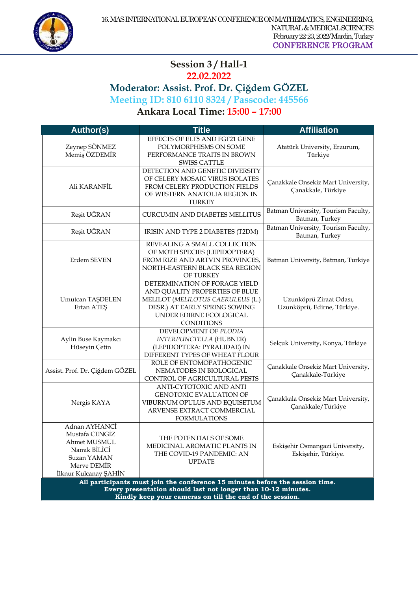

#### $\overline{a}$ **Session 3 / Hall-1 22.02.2022**

# **Moderator: Assist. Prof. Dr. Çiğdem GÖZEL Meeting ID: 810 6110 8324 / Passcode: 445566**

**Ankara Local Time: 15:00 – 17:00** 

| <b>Author(s)</b>                                                                                                                                                                                           | <b>Title</b>                                                                                                                                                                          | <b>Affiliation</b>                                       |
|------------------------------------------------------------------------------------------------------------------------------------------------------------------------------------------------------------|---------------------------------------------------------------------------------------------------------------------------------------------------------------------------------------|----------------------------------------------------------|
| Zeynep SÖNMEZ<br>Memiş ÖZDEMİR                                                                                                                                                                             | EFFECTS OF ELF5 AND FGF21 GENE<br>POLYMORPHISMS ON SOME<br>PERFORMANCE TRAITS IN BROWN<br><b>SWISS CATTLE</b>                                                                         | Atatürk University, Erzurum,<br>Türkiye                  |
| Ali KARANFİL                                                                                                                                                                                               | DETECTION AND GENETIC DIVERSITY<br>OF CELERY MOSAIC VIRUS ISOLATES<br>FROM CELERY PRODUCTION FIELDS<br>OF WESTERN ANATOLIA REGION IN<br><b>TURKEY</b>                                 | Çanakkale Onsekiz Mart University,<br>Çanakkale, Türkiye |
| Reşit UĞRAN                                                                                                                                                                                                | <b>CURCUMIN AND DIABETES MELLITUS</b>                                                                                                                                                 | Batman University, Tourism Faculty,<br>Batman, Turkey    |
| Reşit UĞRAN                                                                                                                                                                                                | IRISIN AND TYPE 2 DIABETES (T2DM)                                                                                                                                                     | Batman University, Tourism Faculty,<br>Batman, Turkey    |
| Erdem SEVEN                                                                                                                                                                                                | REVEALING A SMALL COLLECTION<br>OF MOTH SPECIES (LEPIDOPTERA)<br>FROM RIZE AND ARTVIN PROVINCES,<br>NORTH-EASTERN BLACK SEA REGION<br>OF TURKEY                                       | Batman University, Batman, Turkiye                       |
| <b>Umutcan TAŞDELEN</b><br>Ertan ATES                                                                                                                                                                      | DETERMINATION OF FORAGE YIELD<br>AND QUALITY PROPERTIES OF BLUE<br>MELILOT (MELILOTUS CAERULEUS (L.)<br>DESR.) AT EARLY SPRING SOWING<br>UNDER EDIRNE ECOLOGICAL<br><b>CONDITIONS</b> | Uzunköprü Ziraat Odası,<br>Uzunköprü, Edirne, Türkiye.   |
| Aylin Buse Kaymakcı<br>Hüseyin Çetin                                                                                                                                                                       | DEVELOPMENT OF PLODIA<br>INTERPUNCTELLA (HUBNER)<br>(LEPIDOPTERA: PYRALIDAE) IN<br>DIFFERENT TYPES OF WHEAT FLOUR                                                                     | Selçuk University, Konya, Türkiye                        |
| Assist. Prof. Dr. Çiğdem GÖZEL                                                                                                                                                                             | ROLE OF ENTOMOPATHOGENIC<br>NEMATODES IN BIOLOGICAL<br>CONTROL OF AGRICULTURAL PESTS                                                                                                  | Çanakkale Onsekiz Mart University,<br>Çanakkale-Türkiye  |
| Nergis KAYA                                                                                                                                                                                                | ANTI-CYTOTOXIC AND ANTI<br><b>GENOTOXIC EVALUATION OF</b><br>VIBURNUM OPULUS AND EQUISETUM<br>ARVENSE EXTRACT COMMERCIAL<br><b>FORMULATIONS</b>                                       | Çanakkala Onsekiz Mart University,<br>Çanakkale/Türkiye  |
| Adnan AYHANCİ<br>Mustafa CENGIZ<br>Ahmet MUSMUL<br>Namik BİLİCİ<br>Suzan YAMAN<br>Merve DEMİR<br>İlknur Kulcanay ŞAHİN                                                                                     | THE POTENTIALS OF SOME<br>MEDICINAL AROMATIC PLANTS IN<br>THE COVID-19 PANDEMIC: AN<br><b>UPDATE</b>                                                                                  | Eskişehir Osmangazi University,<br>Eskişehir, Türkiye.   |
| All participants must join the conference 15 minutes before the session time.<br>Every presentation should last not longer than 10-12 minutes.<br>Kindly keep your cameras on till the end of the session. |                                                                                                                                                                                       |                                                          |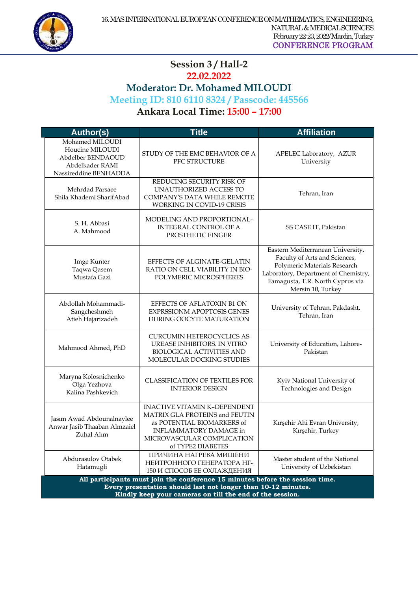

#### $\overline{a}$ **Session 3 / Hall-2 22.02.2022 Moderator: Dr. Mohamed MILOUDI Meeting ID: 810 6110 8324 / Passcode: 445566 Ankara Local Time: 15:00 – 17:00**

| <b>Author(s)</b>                                                                                                                                                                                           | <b>Title</b>                                                                                                                                                                     | <b>Affiliation</b>                                                                                                                                                                                  |
|------------------------------------------------------------------------------------------------------------------------------------------------------------------------------------------------------------|----------------------------------------------------------------------------------------------------------------------------------------------------------------------------------|-----------------------------------------------------------------------------------------------------------------------------------------------------------------------------------------------------|
| Mohamed MILOUDI<br>Houcine MILOUDI<br>Abdelber BENDAOUD<br>Abdelkader RAMI<br>Nassireddine BENHADDA                                                                                                        | STUDY OF THE EMC BEHAVIOR OF A<br>PFC STRUCTURE                                                                                                                                  | APELEC Laboratory, AZUR<br>University                                                                                                                                                               |
| Mehrdad Parsaee<br>Shila Khademi SharifAbad                                                                                                                                                                | REDUCING SECURITY RISK OF<br>UNAUTHORIZED ACCESS TO<br>COMPANY'S DATA WHILE REMOTE<br>WORKING IN COVID-19 CRISIS                                                                 | Tehran, Iran                                                                                                                                                                                        |
| S. H. Abbasi<br>A. Mahmood                                                                                                                                                                                 | MODELING AND PROPORTIONAL-<br><b>INTEGRAL CONTROL OF A</b><br>PROSTHETIC FINGER                                                                                                  | SS CASE IT, Pakistan                                                                                                                                                                                |
| Imge Kunter<br>Taqwa Qasem<br>Mustafa Gazi                                                                                                                                                                 | EFFECTS OF ALGINATE-GELATIN<br>RATIO ON CELL VIABILITY IN BIO-<br>POLYMERIC MICROSPHERES                                                                                         | Eastern Mediterranean University,<br>Faculty of Arts and Sciences,<br>Polymeric Materials Research<br>Laboratory, Department of Chemistry,<br>Famagusta, T.R. North Cyprus via<br>Mersin 10, Turkey |
| Abdollah Mohammadi-<br>Sangcheshmeh<br>Atieh Hajarizadeh                                                                                                                                                   | EFFECTS OF AFLATOXIN B1 ON<br><b>EXPRSSIONM APOPTOSIS GENES</b><br>DURING OOCYTE MATURATION                                                                                      | University of Tehran, Pakdasht,<br>Tehran, Iran                                                                                                                                                     |
| Mahmood Ahmed, PhD                                                                                                                                                                                         | <b>CURCUMIN HETEROCYCLICS AS</b><br>UREASE INHIBITORS. IN VITRO<br><b>BIOLOGICAL ACTIVITIES AND</b><br>MOLECULAR DOCKING STUDIES                                                 | University of Education, Lahore-<br>Pakistan                                                                                                                                                        |
| Maryna Kolosnichenko<br>Olga Yezhova<br>Kalina Pashkevich                                                                                                                                                  | <b>CLASSIFICATION OF TEXTILES FOR</b><br><b>INTERIOR DESIGN</b>                                                                                                                  | Kyiv National University of<br>Technologies and Design                                                                                                                                              |
| Jasım Awad Abdounalnaylee<br>Anwar Jasib Thaaban Almzaiel<br>Zuhal Alım                                                                                                                                    | <b>INACTIVE VITAMIN K-DEPENDENT</b><br>MATRIX GLA PROTEINS and FEUTIN<br>as POTENTIAL BIOMARKERS of<br>INFLAMMATORY DAMAGE in<br>MICROVASCULAR COMPLICATION<br>of TYPE2 DIABETES | Kırşehir Ahi Evran University,<br>Kırşehir, Turkey                                                                                                                                                  |
| Abdurasulov Otabek<br>Hatamugli                                                                                                                                                                            | ПРИЧИНА НАГРЕВА МИШЕНИ<br>НЕЙТРОННОГО ГЕНЕРАТОРА НГ-<br>150 И СПОСОБ ЕЕ ОХЛАЖДЕНИЯ                                                                                               | Master student of the National<br>University of Uzbekistan                                                                                                                                          |
| All participants must join the conference 15 minutes before the session time.<br>Every presentation should last not longer than 10-12 minutes.<br>Kindly keep your cameras on till the end of the session. |                                                                                                                                                                                  |                                                                                                                                                                                                     |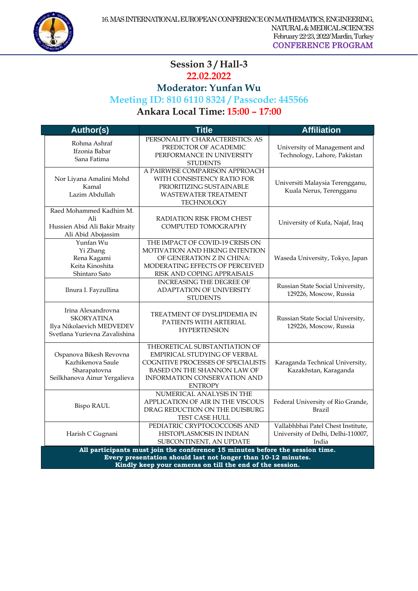

#### $\overline{a}$ **Session 3 / Hall-3 22.02.2022**

## **Moderator: Yunfan Wu**

## **Meeting ID: 810 6110 8324 / Passcode: 445566**

**Ankara Local Time: 15:00 – 17:00** 

| <b>Author(s)</b>                                                                                                                                                                                           | <b>Title</b>                                                                                                                                                                                       | <b>Affiliation</b>                                                                |  |
|------------------------------------------------------------------------------------------------------------------------------------------------------------------------------------------------------------|----------------------------------------------------------------------------------------------------------------------------------------------------------------------------------------------------|-----------------------------------------------------------------------------------|--|
| Rohma Ashraf<br>Ifzonia Babar<br>Sana Fatima                                                                                                                                                               | PERSONALITY CHARACTERISTICS: AS<br>PREDICTOR OF ACADEMIC<br>PERFORMANCE IN UNIVERSITY<br><b>STUDENTS</b>                                                                                           | University of Management and<br>Technology, Lahore, Pakistan                      |  |
| Nor Liyana Amalini Mohd<br>Kamal<br>Lazim Abdullah                                                                                                                                                         | A PAIRWISE COMPARISON APPROACH<br>WITH CONSISTENCY RATIO FOR<br>PRIORITIZING SUSTAINABLE<br><b>WASTEWATER TREATMENT</b><br>TECHNOLOGY                                                              | Universiti Malaysia Terengganu,<br>Kuala Nerus, Terengganu                        |  |
| Raed Mohammed Kadhim M.<br>Ali<br>Hussien Abid Ali Bakir Mraity<br>Ali Abid Abojassim                                                                                                                      | RADIATION RISK FROM CHEST<br>COMPUTED TOMOGRAPHY                                                                                                                                                   | University of Kufa, Najaf, Iraq                                                   |  |
| Yunfan Wu<br>Yi Zhang<br>Rena Kagami<br>Keita Kinoshita<br>Shintaro Sato                                                                                                                                   | THE IMPACT OF COVID-19 CRISIS ON<br>MOTIVATION AND HIKING INTENTION<br>OF GENERATION Z IN CHINA:<br>MODERATING EFFECTS OF PERCEIVED<br>RISK AND COPING APPRAISALS                                  | Waseda University, Tokyo, Japan                                                   |  |
| Ilnura I. Fayzullina                                                                                                                                                                                       | <b>INCREASING THE DEGREE OF</b><br>ADAPTATION OF UNIVERSITY<br><b>STUDENTS</b>                                                                                                                     | Russian State Social University,<br>129226, Moscow, Russia                        |  |
| Irina Alexandrovna<br><b>SKORYATINA</b><br>Ilya Nikolaevich MEDVEDEV<br>Svetlana Yurievna Zavalishina                                                                                                      | TREATMENT OF DYSLIPIDEMIA IN<br>PATIENTS WITH ARTERIAL<br><b>HYPERTENSION</b>                                                                                                                      | Russian State Social University,<br>129226, Moscow, Russia                        |  |
| Ospanova Bikesh Revovna<br>Kazhikenova Saule<br>Sharapatovna<br>Seilkhanova Ainur Yergalieva                                                                                                               | THEORETICAL SUBSTANTIATION OF<br>EMPIRICAL STUDYING OF VERBAL<br>COGNITIVE PROCESSES OF SPECIALISTS<br><b>BASED ON THE SHANNON LAW OF</b><br><b>INFORMATION CONSERVATION AND</b><br><b>ENTROPY</b> | Karaganda Technical University,<br>Kazakhstan, Karaganda                          |  |
| <b>Bispo RAUL</b>                                                                                                                                                                                          | NUMERICAL ANALYSIS IN THE<br>APPLICATION OF AIR IN THE VISCOUS<br>DRAG REDUCTION ON THE DUISBURG<br>TEST CASE HULL                                                                                 | Federal University of Rio Grande,<br>Brazil                                       |  |
| Harish C Gugnani                                                                                                                                                                                           | PEDIATRIC CRYPTOCOCCOSIS AND<br>HISTOPLASMOSIS IN INDIAN<br>SUBCONTINENT, AN UPDATE                                                                                                                | Vallabhbhai Patel Chest Institute,<br>University of Delhi, Delhi-110007,<br>India |  |
| All participants must join the conference 15 minutes before the session time.<br>Every presentation should last not longer than 10-12 minutes.<br>Kindly keep your cameras on till the end of the session. |                                                                                                                                                                                                    |                                                                                   |  |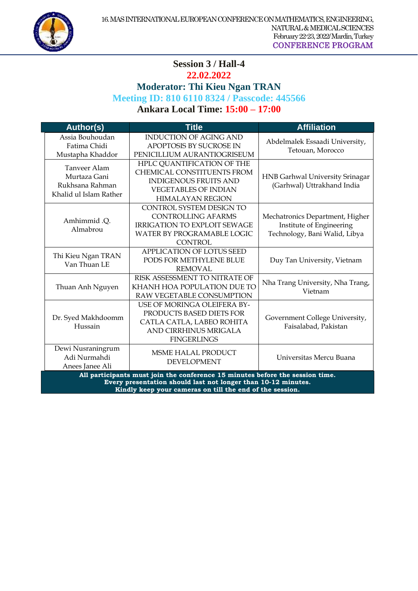

#### **Session 3 / Hall-4 22.02.2022**

 $\overline{a}$ 

**Moderator: Thi Kieu Ngan TRAN**

## **Meeting ID: 810 6110 8324 / Passcode: 445566**

## **Ankara Local Time: 15:00 – 17:00**

| <b>Author(s)</b>                                                                                                                                                                                          | <b>Title</b>                                                                                                                                       | <b>Affiliation</b>                                                                           |  |  |
|-----------------------------------------------------------------------------------------------------------------------------------------------------------------------------------------------------------|----------------------------------------------------------------------------------------------------------------------------------------------------|----------------------------------------------------------------------------------------------|--|--|
| Assia Bouhoudan<br>Fatima Chidi<br>Mustapha Khaddor                                                                                                                                                       | <b>INDUCTION OF AGING AND</b><br>APOPTOSIS BY SUCROSE IN<br>PENICILLIUM AURANTIOGRISEUM                                                            | Abdelmalek Essaadi University,<br>Tetouan, Morocco                                           |  |  |
| Tanveer Alam<br>Murtaza Gani<br>Rukhsana Rahman<br>Khalid ul Islam Rather                                                                                                                                 | HPLC QUANTIFICATION OF THE<br>CHEMICAL CONSTITUENTS FROM<br><b>INDIGENOUS FRUITS AND</b><br><b>VEGETABLES OF INDIAN</b><br><b>HIMALAYAN REGION</b> | HNB Garhwal University Srinagar<br>(Garhwal) Uttrakhand India                                |  |  |
| Amhimmid .Q.<br>Almabrou                                                                                                                                                                                  | CONTROL SYSTEM DESIGN TO<br><b>CONTROLLING AFARMS</b><br><b>IRRIGATION TO EXPLOIT SEWAGE</b><br>WATER BY PROGRAMABLE LOGIC<br><b>CONTROL</b>       | Mechatronics Department, Higher<br>Institute of Engineering<br>Technology, Bani Walid, Libya |  |  |
| Thi Kieu Ngan TRAN<br>Van Thuan LE                                                                                                                                                                        | <b>APPLICATION OF LOTUS SEED</b><br>PODS FOR METHYLENE BLUE<br><b>REMOVAL</b>                                                                      | Duy Tan University, Vietnam                                                                  |  |  |
| Thuan Anh Nguyen                                                                                                                                                                                          | RISK ASSESSMENT TO NITRATE OF<br>KHANH HOA POPULATION DUE TO<br>RAW VEGETABLE CONSUMPTION                                                          | Nha Trang University, Nha Trang,<br>Vietnam                                                  |  |  |
| Dr. Syed Makhdoomm<br>Hussain                                                                                                                                                                             | USE OF MORINGA OLEIFERA BY-<br>PRODUCTS BASED DIETS FOR<br>CATLA CATLA, LABEO ROHITA<br>AND CIRRHINUS MRIGALA<br><b>FINGERLINGS</b>                | Government College University,<br>Faisalabad, Pakistan                                       |  |  |
| Dewi Nusraningrum<br>Adi Nurmahdi<br>Anees Janee Ali                                                                                                                                                      | <b>MSME HALAL PRODUCT</b><br><b>DEVELOPMENT</b>                                                                                                    | Universitas Mercu Buana                                                                      |  |  |
| All participants must join the conference 15 minutes before the session time.<br>Every presentation should last not longer than 10-12 minutes.<br>Kindly keen vour comerce on till the end of the session |                                                                                                                                                    |                                                                                              |  |  |

**Kindly keep your cameras on till the end of the session.**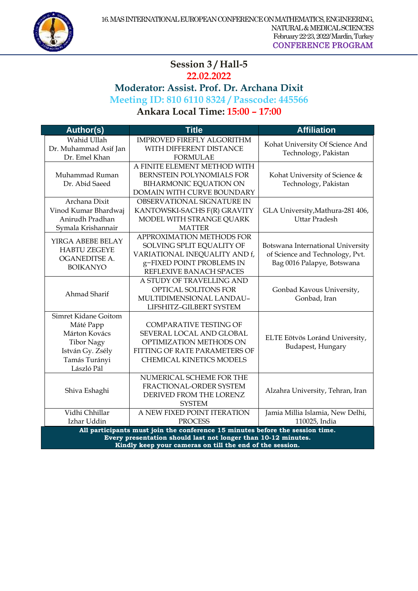

#### $\overline{a}$ **Session 3 / Hall-5 22.02.2022 Moderator: Assist. Prof. Dr. Archana Dixit Meeting ID: 810 6110 8324 / Passcode: 445566 Ankara Local Time: 15:00 – 17:00**

**Author(s) Title Affiliation** Wahid Ullah Dr. Muhammad Asif Jan Dr. Emel Khan IMPROVED FIREFLY ALGORITHM WITH DIFFERENT DISTANCE FORMULAE Kohat University Of Science And Technology, Pakistan Muhammad Ruman Dr. Abid Saeed A FINITE ELEMENT METHOD WITH BERNSTEIN POLYNOMIALS FOR BIHARMONIC EQUATION ON DOMAIN WITH CURVE BOUNDARY Kohat University of Science & Technology, Pakistan Archana Dixit Vinod Kumar Bhardwaj Anirudh Pradhan Symala Krishannair OBSERVATIONAL SIGNATURE IN KANTOWSKI-SACHS F(R) GRAVITY MODEL WITH STRANGE QUARK MATTER GLA University,Mathura-281 406, Uttar Pradesh YIRGA ABEBE BELAY HABTU ZEGEYE OGANEDITSE A. BOIKANYO APPROXIMATION METHODS FOR SOLVING SPLIT EQUALITY OF VARIATIONAL INEQUALITY AND f, g−FIXED POINT PROBLEMS IN REFLEXIVE BANACH SPACES Botswana International University of Science and Technology, Pvt. Bag 0016 Palapye, Botswana Ahmad Sharif A STUDY OF TRAVELLING AND OPTICAL SOLITONS FOR MULTIDIMENSIONAL LANDAU– LIFSHITZ–GILBERT SYSTEM Gonbad Kavous University, Gonbad, Iran Simret Kidane Goitom Máté Papp Márton Kovács Tibor Nagy István Gy. Zsély Tamás Turányi László Pál COMPARATIVE TESTING OF SEVERAL LOCAL AND GLOBAL OPTIMIZATION METHODS ON FITTING OF RATE PARAMETERS OF CHEMICAL KINETICS MODELS ELTE Eötvös Loránd University, Budapest, Hungary Shiva Eshaghi NUMERICAL SCHEME FOR THE FRACTIONAL-ORDER SYSTEM DERIVED FROM THE LORENZ SYSTEM Alzahra University, Tehran, Iran Vidhi Chhillar Izhar Uddin A NEW FIXED POINT ITERATION PROCESS Jamia Millia Islamia, New Delhi, 110025, India **All participants must join the conference 15 minutes before the session time. Every presentation should last not longer than 10-12 minutes.**

**Kindly keep your cameras on till the end of the session.**